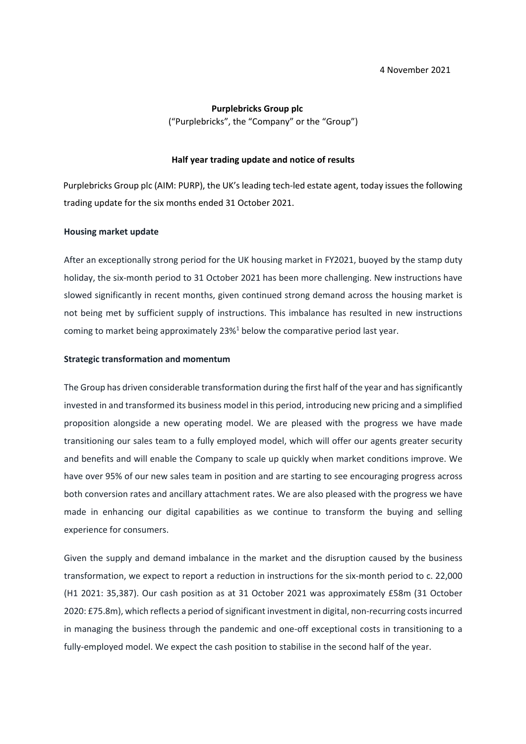## **Purplebricks Group plc**

("Purplebricks", the "Company" or the "Group")

#### **Half year trading update and notice of results**

Purplebricks Group plc (AIM: PURP), the UK's leading tech-led estate agent, today issues the following trading update for the six months ended 31 October 2021.

### **Housing market update**

After an exceptionally strong period for the UK housing market in FY2021, buoyed by the stamp duty holiday, the six-month period to 31 October 2021 has been more challenging. New instructions have slowed significantly in recent months, given continued strong demand across the housing market is not being met by sufficient supply of instructions. This imbalance has resulted in new instructions coming to market being approximately  $23\%$ <sup>1</sup> below the comparative period last year.

#### **Strategic transformation and momentum**

The Group has driven considerable transformation during the first half of the year and has significantly invested in and transformed its business model in this period, introducing new pricing and a simplified proposition alongside a new operating model. We are pleased with the progress we have made transitioning our sales team to a fully employed model, which will offer our agents greater security and benefits and will enable the Company to scale up quickly when market conditions improve. We have over 95% of our new sales team in position and are starting to see encouraging progress across both conversion rates and ancillary attachment rates. We are also pleased with the progress we have made in enhancing our digital capabilities as we continue to transform the buying and selling experience for consumers.

Given the supply and demand imbalance in the market and the disruption caused by the business transformation, we expect to report a reduction in instructions for the six-month period to c. 22,000 (H1 2021: 35,387). Our cash position as at 31 October 2021 was approximately £58m (31 October 2020: £75.8m), which reflects a period of significant investment in digital, non-recurring costs incurred in managing the business through the pandemic and one-off exceptional costs in transitioning to a fully-employed model. We expect the cash position to stabilise in the second half of the year.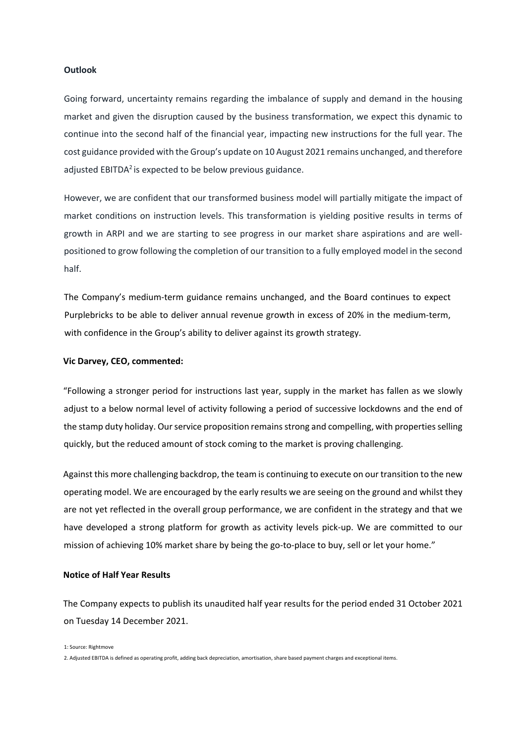### **Outlook**

Going forward, uncertainty remains regarding the imbalance of supply and demand in the housing market and given the disruption caused by the business transformation, we expect this dynamic to continue into the second half of the financial year, impacting new instructions for the full year. The cost guidance provided with the Group's update on 10 August 2021 remains unchanged, and therefore adjusted EBITDA<sup>2</sup> is expected to be below previous guidance.

However, we are confident that our transformed business model will partially mitigate the impact of market conditions on instruction levels. This transformation is yielding positive results in terms of growth in ARPI and we are starting to see progress in our market share aspirations and are wellpositioned to grow following the completion of our transition to a fully employed model in the second half.

The Company's medium-term guidance remains unchanged, and the Board continues to expect Purplebricks to be able to deliver annual revenue growth in excess of 20% in the medium-term, with confidence in the Group's ability to deliver against its growth strategy.

#### **Vic Darvey, CEO, commented:**

"Following a stronger period for instructions last year, supply in the market has fallen as we slowly adjust to a below normal level of activity following a period of successive lockdowns and the end of the stamp duty holiday. Our service proposition remains strong and compelling, with properties selling quickly, but the reduced amount of stock coming to the market is proving challenging.

Against this more challenging backdrop, the team is continuing to execute on our transition to the new operating model. We are encouraged by the early results we are seeing on the ground and whilst they are not yet reflected in the overall group performance, we are confident in the strategy and that we have developed a strong platform for growth as activity levels pick-up. We are committed to our mission of achieving 10% market share by being the go-to-place to buy, sell or let your home."

#### **Notice of Half Year Results**

The Company expects to publish its unaudited half year results for the period ended 31 October 2021 on Tuesday 14 December 2021.

1: Source: Rightmove

2. Adjusted EBITDA is defined as operating profit, adding back depreciation, amortisation, share based payment charges and exceptional items.